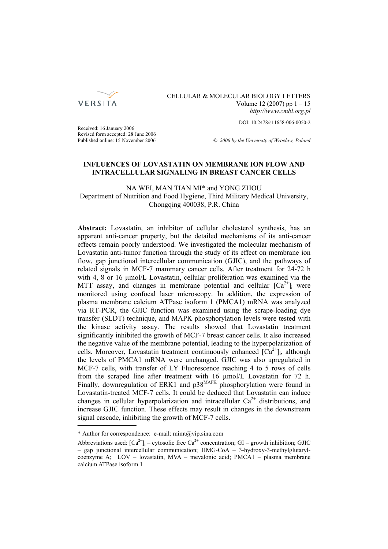

## CELLULAR & MOLECULAR BIOLOGY LETTERS Volume 12 (2007) pp  $1 - 15$ *http://www.cmbl.org.pl*

DOI: 10.2478/s11658-006-0050-2

Received: 16 January 2006 Revised form accepted: 28 June 2006

Published online: 15 November 2006 *© 2006 by the University of Wrocław, Poland*

## **INFLUENCES OF LOVASTATIN ON MEMBRANE ION FLOW AND INTRACELLULAR SIGNALING IN BREAST CANCER CELLS**

NA WEI, MAN TIAN MI\* and YONG ZHOU Department of Nutrition and Food Hygiene, Third Military Medical University, Chongqing 400038, P.R. China

**Abstract:** Lovastatin, an inhibitor of cellular cholesterol synthesis, has an apparent anti-cancer property, but the detailed mechanisms of its anti-cancer effects remain poorly understood. We investigated the molecular mechanism of Lovastatin anti-tumor function through the study of its effect on membrane ion flow, gap junctional intercellular communication (GJIC), and the pathways of related signals in MCF-7 mammary cancer cells. After treatment for 24-72 h with 4, 8 or 16  $\mu$ mol/L Lovastatin, cellular proliferation was examined via the MTT assay, and changes in membrane potential and cellular  $[Ca^{2+}]$  were monitored using confocal laser microscopy. In addition, the expression of plasma membrane calcium ATPase isoform 1 (PMCA1) mRNA was analyzed via RT-PCR, the GJIC function was examined using the scrape-loading dye transfer (SLDT) technique, and MAPK phosphorylation levels were tested with the kinase activity assay. The results showed that Lovastatin treatment significantly inhibited the growth of MCF-7 breast cancer cells. It also increased the negative value of the membrane potential, leading to the hyperpolarization of cells. Moreover, Lovastatin treatment continuously enhanced  $[Ca^{2+}]_i$ , although the levels of PMCA1 mRNA were unchanged. GJIC was also upregulated in MCF-7 cells, with transfer of LY Fluorescence reaching 4 to 5 rows of cells from the scraped line after treatment with 16 µmol/L Lovastatin for 72 h. Finally, downregulation of ERK1 and p38<sup>MAPK</sup> phosphorylation were found in Lovastatin-treated MCF-7 cells. It could be deduced that Lovastatin can induce changes in cellular hyperpolarization and intracellular  $Ca^{2+}$  distributions, and increase GJIC function. These effects may result in changes in the downstream signal cascade, inhibiting the growth of MCF-7 cells.

<sup>\*</sup> Author for correspondence: e-mail: mimt@vip.sina.com

Abbreviations used:  $[Ca^{2+}]\mathbf{i} -$  cytosolic free  $Ca^{2+}$  concentration; GI – growth inhibition; GJIC – gap junctional intercellular communication; HMG-CoA – 3-hydroxy-3-methylglutarylcoenzyme A; LOV – lovastatin, MVA – mevalonic acid; PMCA1 – plasma membrane calcium ATPase isoform 1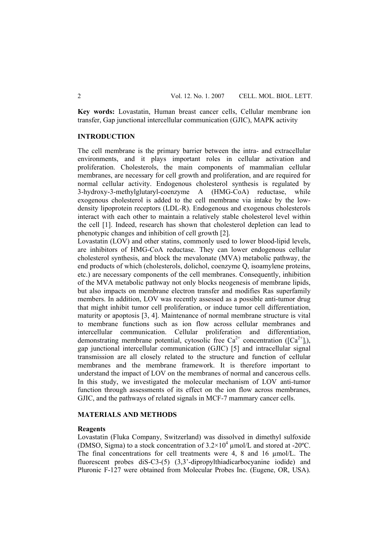**Key words:** Lovastatin, Human breast cancer cells, Cellular membrane ion transfer, Gap junctional intercellular communication (GJIC), MAPK activity

## **INTRODUCTION**

The cell membrane is the primary barrier between the intra- and extracellular environments, and it plays important roles in cellular activation and proliferation. Cholesterols, the main components of mammalian cellular membranes, are necessary for cell growth and proliferation, and are required for normal cellular activity. Endogenous cholesterol synthesis is regulated by 3-hydroxy-3-methylglutaryl-coenzyme A (HMG-CoA) reductase, while exogenous cholesterol is added to the cell membrane via intake by the lowdensity lipoprotein receptors (LDL-R). Endogenous and exogenous cholesterols interact with each other to maintain a relatively stable cholesterol level within the cell [1]. Indeed, research has shown that cholesterol depletion can lead to phenotypic changes and inhibition of cell growth [2].

Lovastatin (LOV) and other statins, commonly used to lower blood-lipid levels, are inhibitors of HMG-CoA reductase. They can lower endogenous cellular cholesterol synthesis, and block the mevalonate (MVA) metabolic pathway, the end products of which (cholesterols, dolichol, coenzyme Q, isoamylene proteins, etc.) are necessary components of the cell membranes. Consequently, inhibition of the MVA metabolic pathway not only blocks neogenesis of membrane lipids, but also impacts on membrane electron transfer and modifies Ras superfamily members. In addition, LOV was recently assessed as a possible anti-tumor drug that might inhibit tumor cell proliferation, or induce tumor cell differentiation, maturity or apoptosis [3, 4]. Maintenance of normal membrane structure is vital to membrane functions such as ion flow across cellular membranes and intercellular communication. Cellular proliferation and differentiation, demonstrating membrane potential, cytosolic free Ca<sup>2+</sup> concentration ( $[Ca^{2+}]$ i), gap junctional intercellular communication (GJIC) [5] and intracellular signal transmission are all closely related to the structure and function of cellular membranes and the membrane framework. It is therefore important to understand the impact of LOV on the membranes of normal and cancerous cells. In this study, we investigated the molecular mechanism of LOV anti-tumor function through assessments of its effect on the ion flow across membranes, GJIC, and the pathways of related signals in MCF-7 mammary cancer cells.

## **MATERIALS AND METHODS**

#### **Reagents**

Lovastatin (Fluka Company, Switzerland) was dissolved in dimethyl sulfoxide (DMSO, Sigma) to a stock concentration of  $3.2 \times 10^4$  µmol/L and stored at -20°C. The final concentrations for cell treatments were 4, 8 and 16 umol/L. The fluorescent probes diS-C3-(5) (3,3'-dipropylthiadicarbocyanine iodide) and Pluronic F-127 were obtained from Molecular Probes Inc. (Eugene, OR, USA).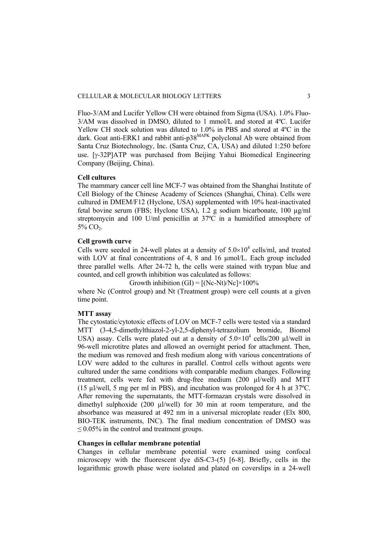Fluo-3/AM and Lucifer Yellow CH were obtained from Sigma (USA). 1.0% Fluo-3/AM was dissolved in DMSO, diluted to 1 mmol/L and stored at 4ºC. Lucifer Yellow CH stock solution was diluted to 1.0% in PBS and stored at 4ºC in the dark. Goat anti-ERK1 and rabbit anti-p38<sup>MAPK</sup> polyclonal Ab were obtained from Santa Cruz Biotechnology, Inc. (Santa Cruz, CA, USA) and diluted 1:250 before use. [γ-32P]ATP was purchased from Beijing Yahui Biomedical Engineering Company (Beijing, China).

## **Cell cultures**

The mammary cancer cell line MCF-7 was obtained from the Shanghai Institute of Cell Biology of the Chinese Academy of Sciences (Shanghai, China). Cells were cultured in DMEM/F12 (Hyclone, USA) supplemented with 10% heat-inactivated fetal bovine serum (FBS; Hyclone USA), 1.2 g sodium bicarbonate, 100 µg/ml streptomycin and 100 U/ml penicillin at 37ºC in a humidified atmosphere of  $5\%$  CO<sub>2</sub>.

## **Cell growth curve**

Cells were seeded in 24-well plates at a density of  $5.0 \times 10^4$  cells/ml, and treated with LOV at final concentrations of 4, 8 and 16  $\mu$ mol/L. Each group included three parallel wells. After 24-72 h, the cells were stained with trypan blue and counted, and cell growth inhibition was calculated as follows:

Growth inhibition  $(GI) = [(Nc-Nt)/Nc] \times 100\%$ 

where Nc (Control group) and Nt (Treatment group) were cell counts at a given time point.

## **MTT assay**

The cytostatic/cytotoxic effects of LOV on MCF-7 cells were tested via a standard MTT (3-4,5-dimethylthiazol-2-yl-2,5-diphenyl-tetrazolium bromide, Biomol USA) assay. Cells were plated out at a density of  $5.0 \times 10^4$  cells/200 µl/well in 96-well microtitre plates and allowed an overnight period for attachment. Then, the medium was removed and fresh medium along with various concentrations of LOV were added to the cultures in parallel. Control cells without agents were cultured under the same conditions with comparable medium changes. Following treatment, cells were fed with drug-free medium (200 µl/well) and MTT (15 µl/well, 5 mg per ml in PBS), and incubation was prolonged for 4 h at 37ºC. After removing the supernatants, the MTT-formazan crystals were dissolved in dimethyl sulphoxide (200 µl/well) for 30 min at room temperature, and the absorbance was measured at 492 nm in a universal microplate reader (Elx 800, BIO-TEK instruments, INC). The final medium concentration of DMSO was  $\leq$  0.05% in the control and treatment groups.

## **Changes in cellular membrane potential**

Changes in cellular membrane potential were examined using confocal microscopy with the fluorescent dye diS-C3-(5) [6-8]. Briefly, cells in the logarithmic growth phase were isolated and plated on coverslips in a 24-well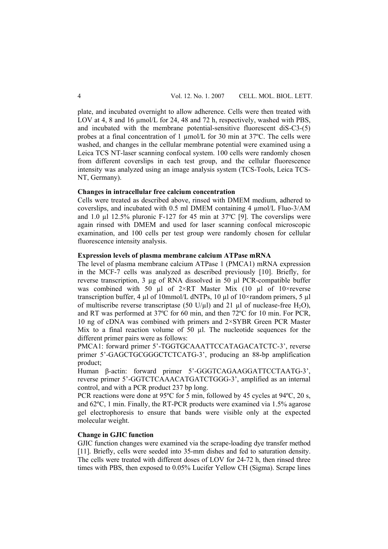plate, and incubated overnight to allow adherence. Cells were then treated with LOV at 4, 8 and 16 µmol/L for 24, 48 and 72 h, respectively, washed with PBS, and incubated with the membrane potential-sensitive fluorescent diS-C3-(5) probes at a final concentration of 1 µmol/L for 30 min at 37ºC. The cells were washed, and changes in the cellular membrane potential were examined using a Leica TCS NT-laser scanning confocal system. 100 cells were randomly chosen from different coverslips in each test group, and the cellular fluorescence intensity was analyzed using an image analysis system (TCS-Tools, Leica TCS-NT, Germany).

## **Changes in intracellular free calcium concentration**

Cells were treated as described above, rinsed with DMEM medium, adhered to coverslips, and incubated with 0.5 ml DMEM containing 4 µmol/L Fluo-3/AM and 1.0 µl 12.5% pluronic F-127 for 45 min at 37ºC [9]. The coverslips were again rinsed with DMEM and used for laser scanning confocal microscopic examination, and 100 cells per test group were randomly chosen for cellular fluorescence intensity analysis.

## **Expression levels of plasma membrane calcium ATPase mRNA**

The level of plasma membrane calcium ATPase 1 (PMCA1) mRNA expression in the MCF-7 cells was analyzed as described previously [10]. Briefly, for reverse transcription, 3 µg of RNA dissolved in 50 µl PCR-compatible buffer was combined with 50  $\mu$ l of 2×RT Master Mix (10  $\mu$ l of 10×reverse transcription buffer, 4 µl of 10mmol/L dNTPs, 10 µl of  $10\times$ random primers, 5 µl of multiscribe reverse transcriptase (50 U/µl) and 21 µl of nuclease-free H<sub>2</sub>O), and RT was performed at 37ºC for 60 min, and then 72ºC for 10 min. For PCR, 10 ng of cDNA was combined with primers and 2×SYBR Green PCR Master Mix to a final reaction volume of 50 µl. The nucleotide sequences for the different primer pairs were as follows:

PMCA1: forward primer 5'-TGGTGCAAATTCCATAGACATCTC-3', reverse primer 5'-GAGCTGCGGGCTCTCATG-3', producing an 88-bp amplification product;

Human β-actin: forward primer 5'-GGGTCAGAAGGATTCCTAATG-3', reverse primer 5'-GGTCTCAAACATGATCTGGG-3', amplified as an internal control, and with a PCR product 237 bp long.

PCR reactions were done at 95°C for 5 min, followed by 45 cycles at 94°C, 20 s, and 62ºC, 1 min. Finally, the RT-PCR products were examined via 1.5% agarose gel electrophoresis to ensure that bands were visible only at the expected molecular weight.

## **Change in GJIC function**

GJIC function changes were examined via the scrape-loading dye transfer method [11]. Briefly, cells were seeded into 35-mm dishes and fed to saturation density. The cells were treated with different doses of LOV for 24-72 h, then rinsed three times with PBS, then exposed to 0.05% Lucifer Yellow CH (Sigma). Scrape lines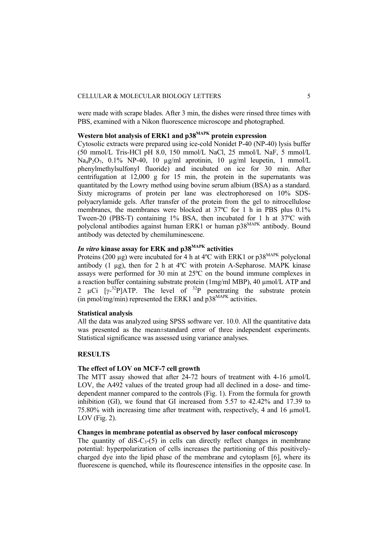were made with scrape blades. After 3 min, the dishes were rinsed three times with PBS, examined with a Nikon fluorescence microscope and photographed.

## Western blot analysis of ERK1 and p38<sup>MAPK</sup> protein expression

Cytosolic extracts were prepared using ice-cold Nonidet P-40 (NP-40) lysis buffer (50 mmol/L Tris-HCl pH 8.0, 150 mmol/L NaCl, 25 mmol/L NaF, 5 mmol/L Na<sub>4</sub>P<sub>2</sub>O<sub>7</sub>, 0.1% NP-40, 10 µg/ml aprotinin, 10 µg/ml leupetin, 1 mmol/L phenylmethylsulfonyl fluoride) and incubated on ice for 30 min. After centrifugation at 12,000 g for 15 min, the protein in the supernatants was quantitated by the Lowry method using bovine serum albium (BSA) as a standard. Sixty micrograms of protein per lane was electrophoresed on 10% SDSpolyacrylamide gels. After transfer of the protein from the gel to nitrocellulose membranes, the membranes were blocked at 37ºC for 1 h in PBS plus 0.1% Tween-20 (PBS-T) containing 1% BSA, then incubated for 1 h at 37ºC with polyclonal antibodies against human ERK1 or human p38<sup>MAPK</sup> antibody. Bound antibody was detected by chemiluminescene.

# *In vitro* **kinase assay for ERK and p38MAPK activities**

Proteins (200  $\mu$ g) were incubated for 4 h at 4°C with ERK1 or p38<sup>MAPK</sup> polyclonal antibody  $(1 \mu g)$ , then for 2 h at  $4^{\circ}$ C with protein A-Sepharose. MAPK kinase assays were performed for 30 min at 25ºC on the bound immune complexes in a reaction buffer containing substrate protein (1mg/ml MBP), 40 µmol/L ATP and 2  $\mu$ Ci [ $\gamma$ -<sup>32</sup>P]ATP. The level of <sup>32</sup>P penetrating the substrate protein  $(in \overrightarrow{p}$  pmol/mg/min) represented the ERK1 and  $p38^{MAPK}$  activities.

#### **Statistical analysis**

All the data was analyzed using SPSS software ver. 10.0. All the quantitative data was presented as the mean±standard error of three independent experiments. Statistical significance was assessed using variance analyses.

## **RESULTS**

## **The effect of LOV on MCF-7 cell growth**

The MTT assay showed that after 24-72 hours of treatment with 4-16  $\mu$ mol/L LOV, the A492 values of the treated group had all declined in a dose- and timedependent manner compared to the controls (Fig. 1). From the formula for growth inhibition (GI), we found that GI increased from 5.57 to 42.42% and 17.39 to 75.80% with increasing time after treatment with, respectively, 4 and 16 µmol/L LOV (Fig. 2).

## **Changes in membrane potential as observed by laser confocal microscopy**

The quantity of diS- $C_3$ -(5) in cells can directly reflect changes in membrane potential: hyperpolarization of cells increases the partitioning of this positivelycharged dye into the lipid phase of the membrane and cytoplasm [6], where its fluorescene is quenched, while its flourescence intensifies in the opposite case. In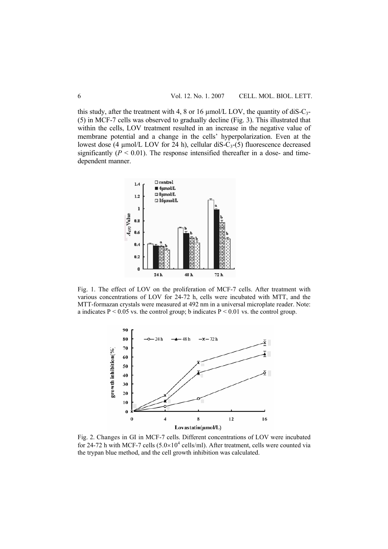this study, after the treatment with 4, 8 or 16  $\mu$ mol/L LOV, the quantity of diS-C<sub>3</sub>-(5) in MCF-7 cells was observed to gradually decline (Fig. 3). This illustrated that within the cells, LOV treatment resulted in an increase in the negative value of membrane potential and a change in the cells' hyperpolarization. Even at the lowest dose (4  $\mu$ mol/L LOV for 24 h), cellular diS-C<sub>3</sub>-(5) fluorescence decreased significantly  $(P < 0.01)$ . The response intensified thereafter in a dose- and timedependent manner.



Fig. 1. The effect of LOV on the proliferation of MCF-7 cells. After treatment with various concentrations of LOV for 24-72 h, cells were incubated with MTT, and the MTT-formazan crystals were measured at 492 nm in a universal microplate reader. Note: a indicates  $P \le 0.05$  vs. the control group; b indicates  $P \le 0.01$  vs. the control group.



Fig. 2. Changes in GI in MCF-7 cells. Different concentrations of LOV were incubated for 24-72 h with MCF-7 cells  $(5.0 \times 10^4 \text{ cells/ml})$ . After treatment, cells were counted via the trypan blue method, and the cell growth inhibition was calculated.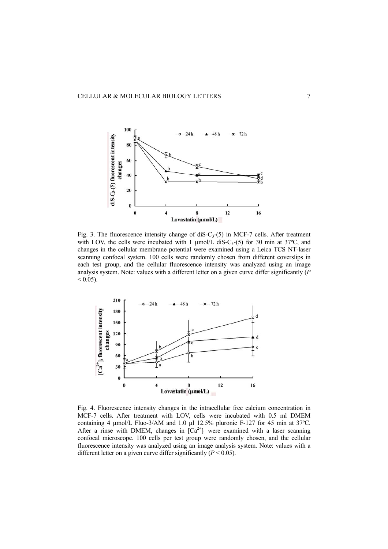

Fig. 3. The fluorescence intensity change of diS- $C_3$ -(5) in MCF-7 cells. After treatment with LOV, the cells were incubated with 1  $\mu$ mol/L diS-C<sub>3</sub>-(5) for 30 min at 37°C, and changes in the cellular membrane potential were examined using a Leica TCS NT-laser scanning confocal system. 100 cells were randomly chosen from different coverslips in each test group, and the cellular fluorescence intensity was analyzed using an image analysis system. Note: values with a different letter on a given curve differ significantly (*P*  $< 0.05$ ).



Fig. 4. Fluorescence intensity changes in the intracellular free calcium concentration in MCF-7 cells. After treatment with LOV, cells were incubated with 0.5 ml DMEM containing 4 µmol/L Fluo-3/AM and 1.0 µl 12.5% pluronic F-127 for 45 min at 37ºC. After a rinse with DMEM, changes in  $[Ca^{2+}]_i$  were examined with a laser scanning confocal microscope. 100 cells per test group were randomly chosen, and the cellular fluorescence intensity was analyzed using an image analysis system. Note: values with a different letter on a given curve differ significantly  $(P < 0.05)$ .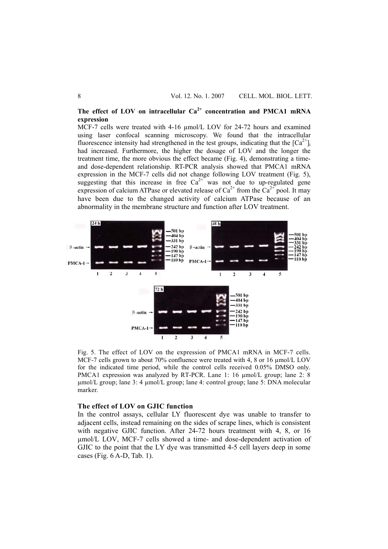The effect of LOV on intracellular  $Ca<sup>2+</sup>$  concentration and PMCA1 mRNA **expression** 

MCF-7 cells were treated with 4-16  $\mu$ mol/L LOV for 24-72 hours and examined using laser confocal scanning microscopy. We found that the intracellular fluorescence intensity had strengthened in the test groups, indicating that the  $[Ca^{2+}]$ had increased. Furthermore, the higher the dosage of LOV and the longer the treatment time, the more obvious the effect became (Fig. 4), demonstrating a timeand dose-dependent relationship. RT-PCR analysis showed that PMCA1 mRNA expression in the MCF-7 cells did not change following LOV treatment (Fig. 5), suggesting that this increase in free  $Ca^{2+}$  was not due to up-regulated gene expression of calcium ATPase or elevated release of  $Ca^{2+}$  from the  $Ca^{2+}$  pool. It may have been due to the changed activity of calcium ATPase because of an abnormality in the membrane structure and function after LOV treatment.



Fig. 5. The effect of LOV on the expression of PMCA1 mRNA in MCF-7 cells. MCF-7 cells grown to about 70% confluence were treated with 4, 8 or 16  $\mu$ mol/L LOV for the indicated time period, while the control cells received 0.05% DMSO only. PMCA1 expression was analyzed by RT-PCR. Lane 1: 16  $\mu$ mol/L group; lane 2: 8 µmol/L group; lane 3: 4 µmol/L group; lane 4: control group; lane 5: DNA molecular marker.

## **The effect of LOV on GJIC function**

In the control assays, cellular LY fluorescent dye was unable to transfer to adjacent cells, instead remaining on the sides of scrape lines, which is consistent with negative GJIC function. After 24-72 hours treatment with 4, 8, or 16 µmol/L LOV, MCF-7 cells showed a time- and dose-dependent activation of GJIC to the point that the LY dye was transmitted 4-5 cell layers deep in some cases (Fig. 6 A-D, Tab. 1).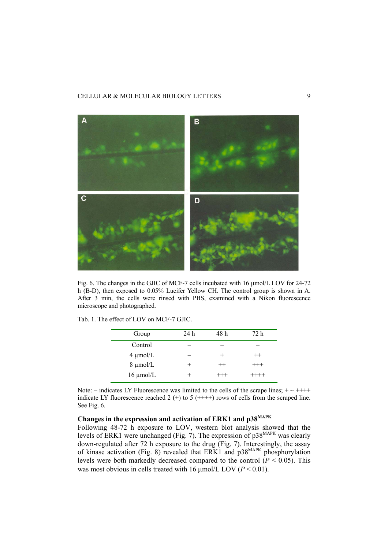## CELLULAR & MOLECULAR BIOLOGY LETTERS 9



Fig. 6. The changes in the GJIC of MCF-7 cells incubated with 16 µmol/L LOV for 24-72 h (B-D), then exposed to 0.05% Lucifer Yellow CH. The control group is shown in A. After 3 min, the cells were rinsed with PBS, examined with a Nikon fluorescence microscope and photographed.

|  |  |  |  |  |  |  |  | Tab. 1. The effect of LOV on MCF-7 GJIC. |  |
|--|--|--|--|--|--|--|--|------------------------------------------|--|
|--|--|--|--|--|--|--|--|------------------------------------------|--|

| Group          | 24 h | 48 h     | 72 h     |
|----------------|------|----------|----------|
| Control        |      |          |          |
| $4 \mu$ mol/L  |      |          | $^{++}$  |
| $8 \mu$ mol/L  |      | $^{++}$  | $^{+++}$ |
| $16 \mu$ mol/L |      | $^{+++}$ | $^{+++}$ |

Note: – indicates LY Fluorescence was limited to the cells of the scrape lines;  $+ \sim ++++$ indicate LY fluorescence reached 2  $(+)$  to 5  $(+++)$  rows of cells from the scraped line. See Fig. 6.

# **Changes in the expression and activation of ERK1 and p38MAPK**

Following 48-72 h exposure to LOV, western blot analysis showed that the levels of ERK1 were unchanged (Fig. 7). The expression of  $p38^{MAPK}$  was clearly down-regulated after 72 h exposure to the drug (Fig. 7). Interestingly, the assay of kinase activation (Fig. 8) revealed that ERK1 and  $p38^{MAPK}$  phosphorylation levels were both markedly decreased compared to the control  $(P < 0.05)$ . This was most obvious in cells treated with 16  $\mu$ mol/L LOV (*P* < 0.01).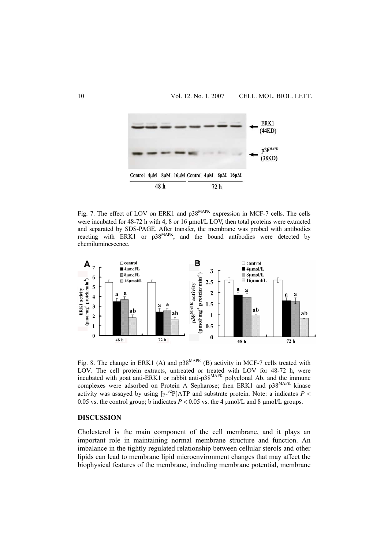

Fig. 7. The effect of LOV on ERK1 and p38<sup>MAPK</sup> expression in MCF-7 cells. The cells were incubated for 48-72 h with 4, 8 or 16 μmol/L LOV, then total proteins were extracted and separated by SDS-PAGE. After transfer, the membrane was probed with antibodies reacting with ERK1 or  $p38^{MAPK}$ , and the bound antibodies were detected by chemiluminescence.



Fig. 8. The change in ERK1 (A) and  $p38^{MAPK}$  (B) activity in MCF-7 cells treated with LOV. The cell protein extracts, untreated or treated with LOV for 48-72 h, were incubated with goat anti-ERK1 or rabbit anti- $p38^{MAPK}$  polyclonal Ab, and the immune complexes were adsorbed on Protein A Sepharose; then ERK1 and p38<sup>MAPK</sup> kinase activity was assayed by using  $[\gamma^{-32}P]ATP$  and substrate protein. Note: a indicates  $P \leq$ 0.05 vs. the control group; b indicates  $P < 0.05$  vs. the 4  $\mu$ mol/L and 8  $\mu$ mol/L groups.

## **DISCUSSION**

Cholesterol is the main component of the cell membrane, and it plays an important role in maintaining normal membrane structure and function. An imbalance in the tightly regulated relationship between cellular sterols and other lipids can lead to membrane lipid microenvironment changes that may affect the biophysical features of the membrane, including membrane potential, membrane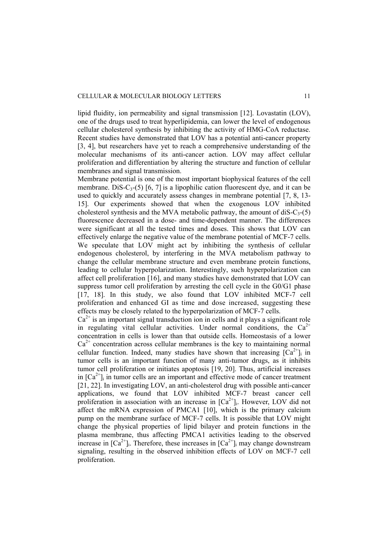#### CELLULAR & MOLECULAR BIOLOGY LETTERS 11

lipid fluidity, ion permeability and signal transmission [12]. Lovastatin (LOV), one of the drugs used to treat hyperlipidemia, can lower the level of endogenous cellular cholesterol synthesis by inhibiting the activity of HMG-CoA reductase. Recent studies have demonstrated that LOV has a potential anti-cancer property [3, 4], but researchers have yet to reach a comprehensive understanding of the molecular mechanisms of its anti-cancer action. LOV may affect cellular proliferation and differentiation by altering the structure and function of cellular membranes and signal transmission.

Membrane potential is one of the most important biophysical features of the cell membrane. DiS-C<sub>3</sub>-(5) [6, 7] is a lipophilic cation fluorescent dye, and it can be used to quickly and accurately assess changes in membrane potential [7, 8, 13- 15]. Our experiments showed that when the exogenous LOV inhibited cholesterol synthesis and the MVA metabolic pathway, the amount of diS- $C_3$ -(5) fluorescence decreased in a dose- and time-dependent manner. The differences were significant at all the tested times and doses. This shows that LOV can effectively enlarge the negative value of the membrane potential of MCF-7 cells. We speculate that LOV might act by inhibiting the synthesis of cellular endogenous cholesterol, by interfering in the MVA metabolism pathway to change the cellular membrane structure and even membrane protein functions, leading to cellular hyperpolarization. Interestingly, such hyperpolarization can affect cell proliferation [16], and many studies have demonstrated that LOV can suppress tumor cell proliferation by arresting the cell cycle in the G0/G1 phase [17, 18]. In this study, we also found that LOV inhibited MCF-7 cell proliferation and enhanced GI as time and dose increased, suggesting these effects may be closely related to the hyperpolarization of MCF-7 cells.

 $Ca<sup>2+</sup>$  is an important signal transduction ion in cells and it plays a significant role in regulating vital cellular activities. Under normal conditions, the  $Ca^{2+}$ concentration in cells is lower than that outside cells. Homeostasis of a lower  $Ca<sup>2+</sup>$  concentration across cellular membranes is the key to maintaining normal cellular function. Indeed, many studies have shown that increasing  $[Ca^{2+}]$  in tumor cells is an important function of many anti-tumor drugs, as it inhibits tumor cell proliferation or initiates apoptosis [19, 20]. Thus, artificial increases in  $[Ca^{2+}]$  in tumor cells are an important and effective mode of cancer treatment [21, 22]. In investigating LOV, an anti-cholesterol drug with possible anti-cancer applications, we found that LOV inhibited MCF-7 breast cancer cell proliferation in association with an increase in  $[Ca^{2+}$ ]. However, LOV did not affect the mRNA expression of PMCA1 [10], which is the primary calcium pump on the membrane surface of MCF-7 cells. It is possible that LOV might change the physical properties of lipid bilayer and protein functions in the plasma membrane, thus affecting PMCA1 activities leading to the observed increase in  $[Ca^{2+}]_i$ . Therefore, these increases in  $[Ca^{2+}]_i$  may change downstream signaling, resulting in the observed inhibition effects of LOV on MCF-7 cell proliferation.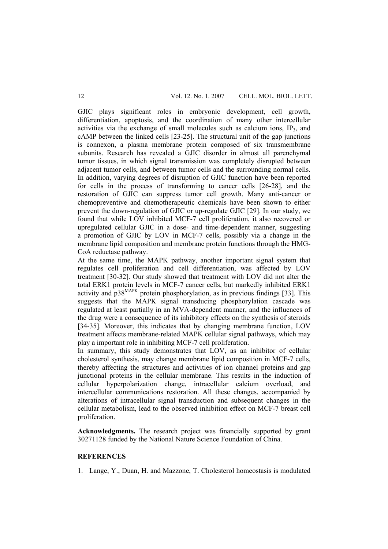GJIC plays significant roles in embryonic development, cell growth, differentiation, apoptosis, and the coordination of many other intercellular activities via the exchange of small molecules such as calcium ions,  $IP_3$ , and cAMP between the linked cells [23-25]. The structural unit of the gap junctions is connexon, a plasma membrane protein composed of six transmembrane subunits. Research has revealed a GJIC disorder in almost all parenchymal tumor tissues, in which signal transmission was completely disrupted between adjacent tumor cells, and between tumor cells and the surrounding normal cells. In addition, varying degrees of disruption of GJIC function have been reported for cells in the process of transforming to cancer cells [26-28], and the restoration of GJIC can suppress tumor cell growth. Many anti-cancer or chemopreventive and chemotherapeutic chemicals have been shown to either prevent the down-regulation of GJIC or up-regulate GJIC [29]. In our study, we found that while LOV inhibited MCF-7 cell proliferation, it also recovered or upregulated cellular GJIC in a dose- and time-dependent manner, suggesting a promotion of GJIC by LOV in MCF-7 cells, possibly via a change in the membrane lipid composition and membrane protein functions through the HMG-CoA reductase pathway.

At the same time, the MAPK pathway, another important signal system that regulates cell proliferation and cell differentiation, was affected by LOV treatment [30-32]. Our study showed that treatment with LOV did not alter the total ERK1 protein levels in MCF-7 cancer cells, but markedly inhibited ERK1 activity and  $p38^{MAPK}$  protein phosphorylation, as in previous findings [33]. This suggests that the MAPK signal transducing phosphorylation cascade was regulated at least partially in an MVA-dependent manner, and the influences of the drug were a consequence of its inhibitory effects on the synthesis of steroids [34-35]. Moreover, this indicates that by changing membrane function, LOV treatment affects membrane-related MAPK cellular signal pathways, which may play a important role in inhibiting MCF-7 cell proliferation.

In summary, this study demonstrates that LOV, as an inhibitor of cellular cholesterol synthesis, may change membrane lipid composition in MCF-7 cells, thereby affecting the structures and activities of ion channel proteins and gap junctional proteins in the cellular membrane. This results in the induction of cellular hyperpolarization change, intracellular calcium overload, and intercellular communications restoration. All these changes, accompanied by alterations of intracellular signal transduction and subsequent changes in the cellular metabolism, lead to the observed inhibition effect on MCF-7 breast cell proliferation.

**Acknowledgments.** The research project was financially supported by grant 30271128 funded by the National Nature Science Foundation of China.

## **REFERENCES**

1. Lange, Y., Duan, H. and Mazzone, T. Cholesterol homeostasis is modulated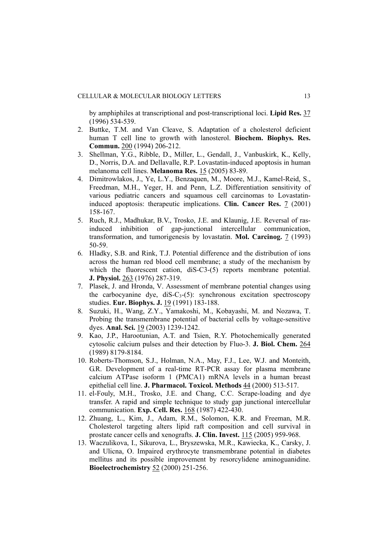by amphiphiles at transcriptional and post-transcriptional loci. **Lipid Res.** 37 (1996) 534-539.

- 2. Buttke, T.M. and Van Cleave, S. Adaptation of a cholesterol deficient human T cell line to growth with lanosterol. **Biochem. Biophys. Res. Commun.** 200 (1994) 206-212.
- 3. Shellman, Y.G., Ribble, D., Miller, L., Gendall, J., Vanbuskirk, K., Kelly, D., Norris, D.A. and Dellavalle, R.P. Lovastatin-induced apoptosis in human melanoma cell lines. **Melanoma Res.** 15 (2005) 83-89.
- 4. Dimitrowlakos, J., Ye, L.Y., Benzaquen, M., Moore, M.J., Kamel-Reid, S., Freedman, M.H., Yeger, H. and Penn, L.Z. Differentiation sensitivity of various pediatric cancers and squamous cell carcinomas to Lovastatininduced apoptosis: therapeutic implications. **Clin. Cancer Res.** 7 (2001) 158-167.
- 5. Ruch, R.J., Madhukar, B.V., Trosko, J.E. and Klaunig, J.E. Reversal of rasinduced inhibition of gap-junctional intercellular communication, transformation, and tumorigenesis by lovastatin. **Mol. Carcinog.** 7 (1993) 50-59.
- 6. Hladky, S.B. and Rink, T.J. Potential difference and the distribution of ions across the human red blood cell membrane; a study of the mechanism by which the fluorescent cation, diS-C3-(5) reports membrane potential. **J. Physiol.** 263 (1976) 287-319.
- 7. Plasek, J. and Hronda, V. Assessment of membrane potential changes using the carbocyanine dye,  $dis-C_3-(5)$ : synchronous excitation spectroscopy studies. **Eur. Biophys. J.** 19 (1991) 183-188.
- 8. Suzuki, H., Wang, Z.Y., Yamakoshi, M., Kobayashi, M. and Nozawa, T. Probing the transmembrane potential of bacterial cells by voltage-sensitive dyes. **Anal. Sci.** 19 (2003) 1239-1242.
- 9. Kao, J.P., Harootunian, A.T. and Tsien, R.Y. Photochemically generated cytosolic calcium pulses and their detection by Fluo-3. **J. Biol. Chem.** 264 (1989) 8179-8184.
- 10. Roberts-Thomson, S.J., Holman, N.A., May, F.J., Lee, W.J. and Monteith, G.R. Development of a real-time RT-PCR assay for plasma membrane calcium ATPase isoform 1 (PMCA1) mRNA levels in a human breast epithelial cell line. **J. Pharmacol. Toxicol. Methods** 44 (2000) 513-517.
- 11. el-Fouly, M.H., Trosko, J.E. and Chang, C.C. Scrape-loading and dye transfer. A rapid and simple technique to study gap junctional intercellular communication. **Exp. Cell. Res.** 168 (1987) 422-430.
- 12. Zhuang, L., Kim, J., Adam, R.M., Solomon, K.R. and Freeman, M.R. Cholesterol targeting alters lipid raft composition and cell survival in prostate cancer cells and xenografts. **J. Clin. Invest.** 115 (2005) 959-968.
- 13. Waczulikova, I., Sikurova, L., Bryszewska, M.R., Kawiecka, K., Carsky, J. and Ulicna, O. Impaired erythrocyte transmembrane potential in diabetes mellitus and its possible improvement by resorcylidene aminoguanidine. **Bioelectrochemistry** 52 (2000) 251-256.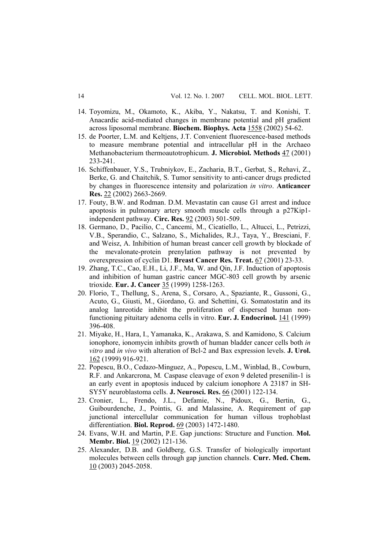- 14. Toyomizu, M., Okamoto, K., Akiba, Y., Nakatsu, T. and Konishi, T. Anacardic acid-mediated changes in membrane potential and pH gradient across liposomal membrane. **Biochem. Biophys. Acta** 1558 (2002) 54-62.
- 15. de Poorter, L.M. and Keltjens, J.T. Convenient fluorescence-based methods to measure membrane potential and intracellular pH in the Archaeo Methanobacterium thermoautotrophicum. **J. Microbiol. Methods** 47 (2001) 233-241.
- 16. Schiffenbauer, Y.S., Trubniykov, E., Zacharia, B.T., Gerbat, S., Rehavi, Z., Berke, G. and Chaitchik, S. Tumor sensitivity to anti-cancer drugs predicted by changes in fluorescence intensity and polarization *in vitro*. **Anticancer Res.** 22 (2002) 2663-2669.
- 17. Fouty, B.W. and Rodman. D.M. Mevastatin can cause G1 arrest and induce apoptosis in pulmonary artery smooth muscle cells through a p27Kip1 independent pathway. **Circ. Res.** 92 (2003) 501-509.
- 18. Germano, D., Pacilio, C., Cancemi, M., Cicatiello, L., Altucci, L., Petrizzi, V.B., Sperandio, C., Salzano, S., Michalides, R.J., Taya, Y., Bresciani, F. and Weisz, A. Inhibition of human breast cancer cell growth by blockade of the mevalonate-protein prenylation pathway is not prevented by overexpression of cyclin D1. **Breast Cancer Res. Treat.** 67 (2001) 23-33.
- 19. Zhang, T.C., Cao, E.H., Li, J.F., Ma, W. and Qin, J.F. Induction of apoptosis and inhibition of human gastric cancer MGC-803 cell growth by arsenic trioxide. **Eur. J. Cancer** 35 (1999) 1258-1263.
- 20. Florio, T., Thellung, S., Arena, S., Corsaro, A., Spaziante, R., Gussoni, G., Acuto, G., Giusti, M., Giordano, G. and Schettini, G. Somatostatin and its analog lanreotide inhibit the proliferation of dispersed human nonfunctioning pituitary adenoma cells in vitro. **Eur. J. Endocrinol.** 141 (1999) 396-408.
- 21. Miyake, H., Hara, I., Yamanaka, K., Arakawa, S. and Kamidono, S*.* Calcium ionophore, ionomycin inhibits growth of human bladder cancer cells both *in vitro* and *in vivo* with alteration of Bcl-2 and Bax expression levels. **J. Urol.** 162 (1999) 916-921.
- 22. Popescu, B.O., Cedazo-Minguez, A., Popescu, L.M., Winblad, B., Cowburn, R.F. and Ankarcrona, M*.* Caspase cleavage of exon 9 deleted presenilin-1 is an early event in apoptosis induced by calcium ionophore A 23187 in SH-SY5Y neuroblastoma cells. **J. Neurosci. Res.** 66 (2001) 122-134.
- 23. Cronier, L., Frendo, J.L., Defamie, N., Pidoux, G., Bertin, G., Guibourdenche, J., Pointis, G. and Malassine, A. Requirement of gap junctional intercellular communication for human villous trophoblast differentiation. **Biol. Reprod.** 69 (2003) 1472-1480.
- 24. Evans, W.H. and Martin, P.E. Gap junctions: Structure and Function. **Mol. Membr. Biol.** 19 (2002) 121-136.
- 25. Alexander, D.B. and Goldberg, G.S. Transfer of biologically important molecules between cells through gap junction channels. **Curr. Med. Chem.** 10 (2003) 2045-2058.